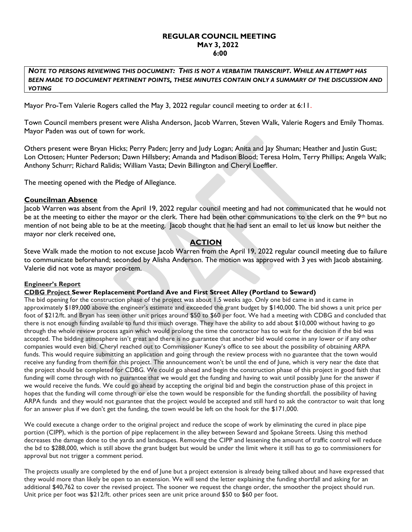### REGULAR COUNCIL MEETING MAY 3, 2022 6:00

NOTE TO PERSONS REVIEWING THIS DOCUMENT: THIS IS NOT A VERBATIM TRANSCRIPT. WHILE AN ATTEMPT HAS BEEN MADE TO DOCUMENT PERTINENT POINTS, THESE MINUTES CONTAIN ONLY A SUMMARY OF THE DISCUSSION AND VOTING

Mayor Pro-Tem Valerie Rogers called the May 3, 2022 regular council meeting to order at 6:11.

Town Council members present were Alisha Anderson, Jacob Warren, Steven Walk, Valerie Rogers and Emily Thomas. Mayor Paden was out of town for work.

Others present were Bryan Hicks; Perry Paden; Jerry and Judy Logan; Anita and Jay Shuman; Heather and Justin Gust; Lon Ottosen; Hunter Pederson; Dawn Hillsbery; Amanda and Madison Blood; Teresa Holm, Terry Phillips; Angela Walk; Anthony Schurr; Richard Ralidis; William Vasta; Devin Billington and Cheryl Loeffler.

The meeting opened with the Pledge of Allegiance.

### Councilman Absence

Jacob Warren was absent from the April 19, 2022 regular council meeting and had not communicated that he would not be at the meeting to either the mayor or the clerk. There had been other communications to the clerk on the 9<sup>th</sup> but no mention of not being able to be at the meeting. Jacob thought that he had sent an email to let us know but neither the mayor nor clerk received one,

# **ACTION**

Steve Walk made the motion to not excuse Jacob Warren from the April 19, 2022 regular council meeting due to failure to communicate beforehand; seconded by Alisha Anderson. The motion was approved with 3 yes with Jacob abstaining. Valerie did not vote as mayor pro-tem.

### Engineer's Report

### CDBG Project Sewer Replacement Portland Ave and First Street Alley (Portland to Seward)

The bid opening for the construction phase of the project was about 1.5 weeks ago. Only one bid came in and it came in approximately \$189,000 above the engineer's estimate and exceeded the grant budget by \$140,000. The bid shows a unit price per foot of \$212/ft. and Bryan has seen other unit prices around \$50 to \$60 per foot. We had a meeting with CDBG and concluded that there is not enough funding available to fund this much overage. They have the ability to add about \$10,000 without having to go through the whole review process again which would prolong the time the contractor has to wait for the decision if the bid was accepted. The bidding atmosphere isn't great and there is no guarantee that another bid would come in any lower or if any other companies would even bid. Cheryl reached out to Commissioner Kuney's office to see about the possibility of obtaining ARPA funds. This would require submitting an application and going through the review process with no guarantee that the town would receive any funding from them for this project. The announcement won't be until the end of June, which is very near the date that the project should be completed for CDBG. We could go ahead and begin the construction phase of this project in good faith that funding will come through with no guarantee that we would get the funding and having to wait until possibly lune for the answer if we would receive the funds. We could go ahead by accepting the original bid and begin the construction phase of this project in hopes that the funding will come through or else the town would be responsible for the funding shortfall. the possibility of having ARPA funds and they would not guarantee that the project would be accepted and still hard to ask the contractor to wait that long for an answer plus if we don't get the funding, the town would be left on the hook for the \$171,000.

We could execute a change order to the original project and reduce the scope of work by eliminating the cured in place pipe portion (CIPP), which is the portion of pipe replacement in the alley between Seward and Spokane Streets. Using this method decreases the damage done to the yards and landscapes. Removing the CIPP and lessening the amount of traffic control will reduce the bd to \$288,000, which is still above the grant budget but would be under the limit where it still has to go to commissioners for approval but not trigger a comment period.

The projects usually are completed by the end of June but a project extension is already being talked about and have expressed that they would more than likely be open to an extension. We will send the letter explaining the funding shortfall and asking for an additional \$40,762 to cover the revised project. The sooner we request the change order, the smoother the project should run. Unit price per foot was \$212/ft. other prices seen are unit price around \$50 to \$60 per foot.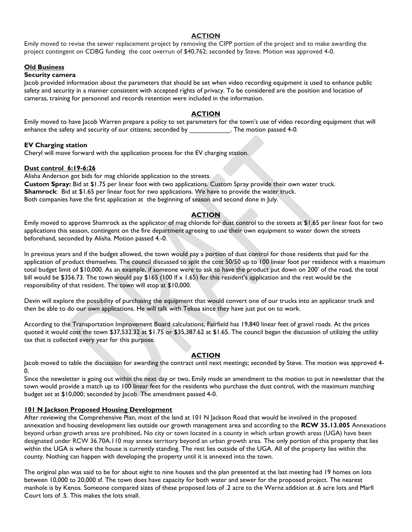#### **ACTION**

Emily moved to revise the sewer replacement project by removing the CIPP portion of the project and to make awarding the project contingent on CDBG funding the cost overrun of \$40,762; seconded by Steve. Motion was approved 4-0.

## **Old Business**

#### Security camera

Jacob provided information about the parameters that should be set when video recording equipment is used to enhance public safety and security in a manner consistent with accepted rights of privacy. To be considered are the position and location of cameras, training for personnel and records retention were included in the information.

### ACTION

Emily moved to have Jacob Warren prepare a policy to set parameters for the town's use of video recording equipment that will enhance the safety and security of our citizens; seconded by The motion passed 4-0.

#### EV Charging station

Cheryl will move forward with the application process for the EV charging station.

#### Dust control 6:19-6:26

Alisha Anderson got bids for mag chloride application to the streets. Custom Spray: Bid at \$1.75 per linear foot with two applications. Custom Spray provide their own water truck. Shamrock: Bid at \$1.65 per linear foot for two applications. We have to provide the water truck. Both companies have the first application at the beginning of season and second done in July.

### **ACTION**

Emily moved to approve Shamrock as the applicator of mag chloride for dust control to the streets at \$1.65 per linear foot for two applications this season, contingent on the fire department agreeing to use their own equipment to water down the streets beforehand, seconded by Alisha. Motion passed 4.-0.

In previous years and if the budget allowed, the town would pay a portion of dust control for those residents that paid for the application of product themselves. The council discussed to split the cost 50/50 up to 100 linear foot per residence with a maximum total budget limit of \$10,000. As an example, if someone were to ask to have the product put down on 200' of the road, the total bill would be \$356.73. The town would pay \$165 (100 lf  $\times$  1.65) for this resident's application and the rest would be the responsibility of that resident. The town will stop at \$10,000.

Devin will explore the possibility of purchasing the equipment that would convert one of our trucks into an applicator truck and then be able to do our own applications. He will talk with Tekoa since they have just put on to work.

According to the Transportation Improvement Board calculations, Fairfield has 19,840 linear feet of gravel roads. At the prices quoted it would cost the town \$37,532.32 at \$1.75 or \$35,387.62 at \$1.65. The council began the discussion of utilizing the utility tax that is collected every year for this purpose.

### **ACTION**

Jacob moved to table the discussion for awarding the contract until next meetings; seconded by Steve. The motion was approved 4-  $\mathbf{0}$ 

Since the newsletter is going out within the next day or two, Emily made an amendment to the motion to put in newsletter that the town would provide a match up to 100 linear feet for the residents who purchase the dust control, with the maximum matching budget set at \$10,000; seconded by Jacob. The amendment passed 4-0.

### **101 N Jackson Proposed Housing Development**

After reviewing the Comprehensive Plan, most of the land at 101 N Jackson Road that would be involved in the proposed annexation and housing development lies outside our growth management area and according to the RCW 35.13.005 Annexations beyond urban growth areas are prohibited. No city or town located in a county in which urban growth areas (UGA) have been designated under RCW 36.70A.110 may annex territory beyond an urban growth area. The only portion of this property that lies within the UGA is where the house is currently standing. The rest lies outside of the UGA. All of the property lies within the county. Nothing can happen with developing the property until it is annexed into the town.

The original plan was said to be for about eight to nine houses and the plan presented at the last meeting had 19 homes on lots between 10,000 to 20,000 sf. The town does have capacity for both water and sewer for the proposed project. The nearest manhole is by Kenos. Someone compared sizes of these proposed lots of .2 acre to the Wernz addition at .6 acre lots and Marll Court lots of .5. This makes the lots small.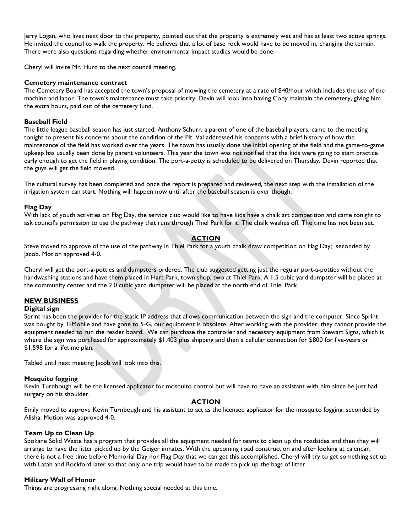Jerry Logan, who lives next door to this property, pointed out that the property is extremely wet and has at least two active springs. He invited the council to walk the property. He believes that a lot of base rock would have to be moved in, changing the terrain. There were also questions regarding whether environmental impact studies would be done.

Cheryl will invite Mr. Hurd to the next council meeting.

#### Cemetery maintenance contract

The Cemetery Board has accepted the town's proposal of mowing the cemetery at a rate of \$40/hour which includes the use of the machine and labor. The town's maintenance must take priority. Devin will look into having Cody maintain the cemetery, giving him the extra hours, paid out of the cemetery fund.

### Baseball Field

The little league baseball season has just started. Anthony Schurr, a parent of one of the baseball players, came to the meeting tonight to present his concerns about the condition of the Pit. Val addressed his concerns with a brief history of how the maintenance of the field has worked over the years. The town has usually done the initial opening of the field and the game-to-game upkeep has usually been done by parent volunteers. This year the town was not notified that the kids were going to start practice early enough to get the field in playing condition. The port-a-potty is scheduled to be delivered on Thursday. Devin reported that the guys will get the field mowed.

The cultural survey has been completed and once the report is prepared and reviewed, the next step with the installation of the irrigation system can start. Nothing will happen now until after the baseball season is over though.

### Flag Day

With lack of youth activities on Flag Day, the service club would like to have kids have a chalk art competition and came tonight to ask council's permission to use the pathway that runs through Thiel Park for it. The chalk washes off. The time has not been set.

### **ACTION**

Steve moved to approve of the use of the pathway in Thiel Park for a youth chalk draw competition on Flag Day; seconded by Jacob. Motion approved 4-0.

Cheryl will get the port-a-potties and dumpsters ordered. The club suggested getting just the regular port-a-potties without the handwashing stations and have them placed in Hart Park, town shop, two at Thiel Park. A 1.5 cubic yard dumpster will be placed at the community center and the 2.0 cubic yard dumpster will be placed at the north end of Thiel Park.

### NEW BUSINESS

### Digital sign

Sprint has been the provider for the static IP address that allows communication between the sign and the computer. Since Sprint was bought by T-Mobile and have gone to 5-G, our equipment is obsolete. After working with the provider, they cannot provide the equipment needed to run the reader board. We can purchase the controller and necessary equipment from Stewart Signs, which is where the sign was purchased for approximately \$1,403 plus shipping and then a cellular connection for \$800 for five-years or \$1,598 for a lifetime plan.

Tabled until next meeting lacob will look into this.

### Mosquito fogging

Kevin Turnbough will be the licensed applicator for mosquito control but will have to have an assistant with him since he just had surgery on his shoulder.

### ACTION

Emily moved to approve Kevin Turnbough and his assistant to act as the licensed applicator for the mosquito fogging; seconded by Alisha. Motion was approved 4-0.

### Team Up to Clean Up

Spokane Solid Waste has a program that provides all the equipment needed for teams to clean up the roadsides and then they will arrange to have the litter picked up by the Geiger inmates. With the upcoming road construction and after looking at calendar, there is not a free time before Memorial Day nor Flag Day that we can get this accomplished. Cheryl will try to get something set up with Latah and Rockford later so that only one trip would have to be made to pick up the bags of litter.

### Military Wall of Honor

Things are progressing right along. Nothing special needed at this time.